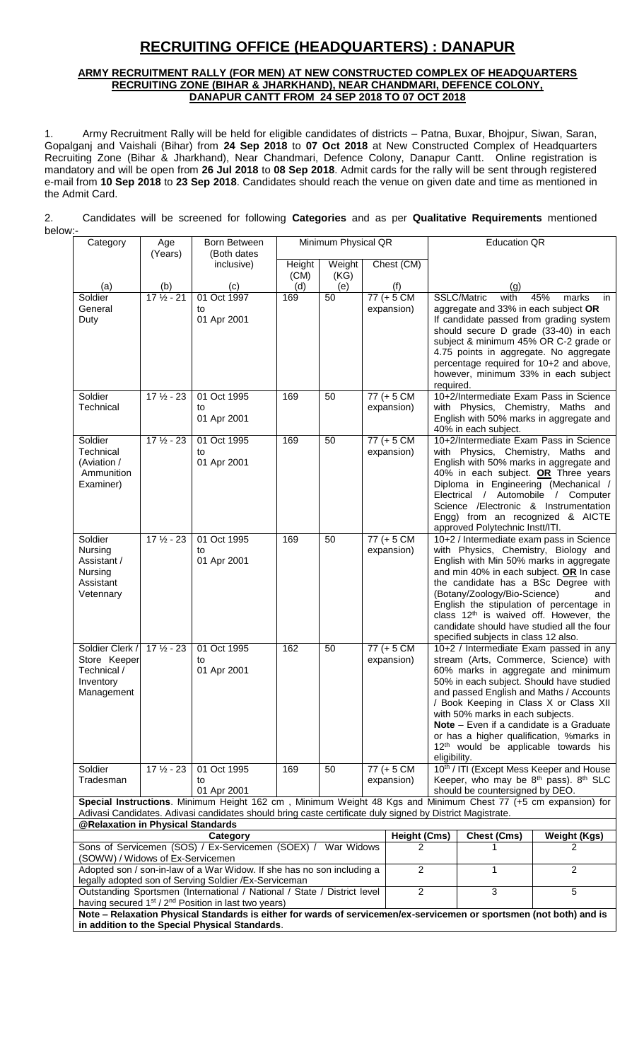# **RECRUITING OFFICE (HEADQUARTERS) : DANAPUR**

#### **ARMY RECRUITMENT RALLY (FOR MEN) AT NEW CONSTRUCTED COMPLEX OF HEADQUARTERS RECRUITING ZONE (BIHAR & JHARKHAND), NEAR CHANDMARI, DEFENCE COLONY, DANAPUR CANTT FROM 24 SEP 2018 TO 07 OCT 2018**

1. Army Recruitment Rally will be held for eligible candidates of districts – Patna, Buxar, Bhojpur, Siwan, Saran, Gopalganj and Vaishali (Bihar) from **24 Sep 2018** to **07 Oct 2018** at New Constructed Complex of Headquarters Recruiting Zone (Bihar & Jharkhand), Near Chandmari, Defence Colony, Danapur Cantt. Online registration is mandatory and will be open from **26 Jul 2018** to **08 Sep 2018**. Admit cards for the rally will be sent through registered e-mail from **10 Sep 2018** to **23 Sep 2018**. Candidates should reach the venue on given date and time as mentioned in the Admit Card.

2. Candidates will be screened for following **Categories** and as per **Qualitative Requirements** mentioned below:-

| Category                                                                                                                                                                                                                   | Age                  | Born Between                                                                                                                                             | Minimum Physical QR |        |  | <b>Education QR</b>         |                                                                                                                                                                                                                                                                                                                                                                                                                                                        |                                                                                                                                                                                                                                                                                                                                                                                                                                              |                                                                                                                                                                                                                                                                                                                           |
|----------------------------------------------------------------------------------------------------------------------------------------------------------------------------------------------------------------------------|----------------------|----------------------------------------------------------------------------------------------------------------------------------------------------------|---------------------|--------|--|-----------------------------|--------------------------------------------------------------------------------------------------------------------------------------------------------------------------------------------------------------------------------------------------------------------------------------------------------------------------------------------------------------------------------------------------------------------------------------------------------|----------------------------------------------------------------------------------------------------------------------------------------------------------------------------------------------------------------------------------------------------------------------------------------------------------------------------------------------------------------------------------------------------------------------------------------------|---------------------------------------------------------------------------------------------------------------------------------------------------------------------------------------------------------------------------------------------------------------------------------------------------------------------------|
|                                                                                                                                                                                                                            | (Years)              | (Both dates<br>inclusive)                                                                                                                                | Height              | Weight |  | Chest (CM)                  |                                                                                                                                                                                                                                                                                                                                                                                                                                                        |                                                                                                                                                                                                                                                                                                                                                                                                                                              |                                                                                                                                                                                                                                                                                                                           |
|                                                                                                                                                                                                                            |                      |                                                                                                                                                          | (CM)                | (KG)   |  |                             |                                                                                                                                                                                                                                                                                                                                                                                                                                                        |                                                                                                                                                                                                                                                                                                                                                                                                                                              |                                                                                                                                                                                                                                                                                                                           |
| (a)                                                                                                                                                                                                                        | (b)                  | (c)                                                                                                                                                      | (d)                 | (e)    |  | (f)                         |                                                                                                                                                                                                                                                                                                                                                                                                                                                        | (q)                                                                                                                                                                                                                                                                                                                                                                                                                                          |                                                                                                                                                                                                                                                                                                                           |
| Soldier<br>General<br>Duty                                                                                                                                                                                                 | $17\frac{1}{2} - 21$ | 01 Oct 1997<br>to<br>01 Apr 2001                                                                                                                         | 169                 | 50     |  | $77 (+ 5 CM)$<br>expansion) |                                                                                                                                                                                                                                                                                                                                                                                                                                                        | SSLC/Matric<br>with<br>aggregate and 33% in each subject OR                                                                                                                                                                                                                                                                                                                                                                                  | 45%<br>marks<br>in<br>If candidate passed from grading system<br>should secure D grade (33-40) in each<br>subject & minimum 45% OR C-2 grade or                                                                                                                                                                           |
|                                                                                                                                                                                                                            |                      |                                                                                                                                                          |                     |        |  |                             | required.                                                                                                                                                                                                                                                                                                                                                                                                                                              |                                                                                                                                                                                                                                                                                                                                                                                                                                              | 4.75 points in aggregate. No aggregate<br>percentage required for 10+2 and above,<br>however, minimum 33% in each subject                                                                                                                                                                                                 |
| Soldier<br><b>Technical</b>                                                                                                                                                                                                | $17\frac{1}{2} - 23$ | 01 Oct 1995<br>to<br>01 Apr 2001                                                                                                                         | 169                 | 50     |  | $77 (+ 5 CM)$<br>expansion) |                                                                                                                                                                                                                                                                                                                                                                                                                                                        | 40% in each subject.                                                                                                                                                                                                                                                                                                                                                                                                                         | 10+2/Intermediate Exam Pass in Science<br>with Physics, Chemistry, Maths and<br>English with 50% marks in aggregate and                                                                                                                                                                                                   |
| Soldier<br>Technical<br>(Aviation /<br>Ammunition<br>Examiner)                                                                                                                                                             | $17\frac{1}{2} - 23$ | 01 Oct 1995<br>to<br>01 Apr 2001                                                                                                                         | 169                 | 50     |  | $77 (+ 5 CM)$<br>expansion) |                                                                                                                                                                                                                                                                                                                                                                                                                                                        | approved Polytechnic Instt/ITI.                                                                                                                                                                                                                                                                                                                                                                                                              | 10+2/Intermediate Exam Pass in Science<br>with Physics, Chemistry, Maths and<br>English with 50% marks in aggregate and<br>40% in each subject. OR Three years<br>Diploma in Engineering (Mechanical /<br>Electrical / Automobile / Computer<br>Science /Electronic & Instrumentation<br>Engg) from an recognized & AICTE |
| Soldier<br>Nursing<br>Assistant /<br>Nursing<br>Assistant<br>Vetennary                                                                                                                                                     | $17\frac{1}{2} - 23$ | 01 Oct 1995<br>to<br>01 Apr 2001                                                                                                                         | 169                 | 50     |  | $77 (+ 5 CM)$<br>expansion) |                                                                                                                                                                                                                                                                                                                                                                                                                                                        | 10+2 / Intermediate exam pass in Science<br>with Physics, Chemistry, Biology and<br>English with Min 50% marks in aggregate<br>and min 40% in each subject. OR In case<br>the candidate has a BSc Degree with<br>(Botany/Zoology/Bio-Science)<br>and<br>English the stipulation of percentage in<br>class 12 <sup>th</sup> is waived off. However, the<br>candidate should have studied all the four<br>specified subjects in class 12 also. |                                                                                                                                                                                                                                                                                                                           |
| Soldier Clerk /<br>Store Keeper<br>Technical /<br>Inventory<br>Management                                                                                                                                                  | $17\frac{1}{2} - 23$ | 01 Oct 1995<br>to<br>01 Apr 2001                                                                                                                         | 162                 | 50     |  | $77 (+ 5 CM)$<br>expansion) | 10+2 / Intermediate Exam passed in any<br>stream (Arts, Commerce, Science) with<br>60% marks in aggregate and minimum<br>50% in each subject. Should have studied<br>and passed English and Maths / Accounts<br>/ Book Keeping in Class X or Class XII<br>with 50% marks in each subjects.<br>Note - Even if a candidate is a Graduate<br>or has a higher qualification, %marks in<br>12 <sup>th</sup> would be applicable towards his<br>eligibility. |                                                                                                                                                                                                                                                                                                                                                                                                                                              |                                                                                                                                                                                                                                                                                                                           |
| Soldier<br>Tradesman                                                                                                                                                                                                       | $17\frac{1}{2}$ - 23 | 01 Oct 1995<br>to<br>01 Apr 2001                                                                                                                         | 169                 | 50     |  | 77 (+ 5 CM<br>expansion)    |                                                                                                                                                                                                                                                                                                                                                                                                                                                        | should be countersigned by DEO.                                                                                                                                                                                                                                                                                                                                                                                                              | 10th / ITI (Except Mess Keeper and House<br>Keeper, who may be 8 <sup>th</sup> pass). 8 <sup>th</sup> SLC                                                                                                                                                                                                                 |
| Special Instructions. Minimum Height 162 cm, Minimum Weight 48 Kgs and Minimum Chest 77 (+5 cm expansion) for<br>Adivasi Candidates. Adivasi candidates should bring caste certificate duly signed by District Magistrate. |                      |                                                                                                                                                          |                     |        |  |                             |                                                                                                                                                                                                                                                                                                                                                                                                                                                        |                                                                                                                                                                                                                                                                                                                                                                                                                                              |                                                                                                                                                                                                                                                                                                                           |
| @Relaxation in Physical Standards                                                                                                                                                                                          |                      |                                                                                                                                                          |                     |        |  |                             |                                                                                                                                                                                                                                                                                                                                                                                                                                                        |                                                                                                                                                                                                                                                                                                                                                                                                                                              |                                                                                                                                                                                                                                                                                                                           |
| Category<br><b>Height (Cms)</b>                                                                                                                                                                                            |                      |                                                                                                                                                          |                     |        |  | <b>Chest (Cms)</b>          | <b>Weight (Kgs)</b>                                                                                                                                                                                                                                                                                                                                                                                                                                    |                                                                                                                                                                                                                                                                                                                                                                                                                                              |                                                                                                                                                                                                                                                                                                                           |
| (SOWW) / Widows of Ex-Servicemen                                                                                                                                                                                           |                      | Sons of Servicemen (SOS) / Ex-Servicemen (SOEX) / War Widows                                                                                             |                     |        |  | 2                           |                                                                                                                                                                                                                                                                                                                                                                                                                                                        |                                                                                                                                                                                                                                                                                                                                                                                                                                              | 2                                                                                                                                                                                                                                                                                                                         |
|                                                                                                                                                                                                                            |                      | Adopted son / son-in-law of a War Widow. If she has no son including a<br>legally adopted son of Serving Soldier / Ex-Serviceman                         |                     |        |  | $\overline{2}$              |                                                                                                                                                                                                                                                                                                                                                                                                                                                        | 1                                                                                                                                                                                                                                                                                                                                                                                                                                            | 2                                                                                                                                                                                                                                                                                                                         |
|                                                                                                                                                                                                                            |                      | Outstanding Sportsmen (International / National / State / District level<br>having secured 1 <sup>st</sup> / 2 <sup>nd</sup> Position in last two years) |                     |        |  | $\overline{c}$              |                                                                                                                                                                                                                                                                                                                                                                                                                                                        | $\mathbf{3}$                                                                                                                                                                                                                                                                                                                                                                                                                                 | 5                                                                                                                                                                                                                                                                                                                         |
| Note - Relaxation Physical Standards is either for wards of servicemen/ex-servicemen or sportsmen (not both) and is<br>in addition to the Special Physical Standards.                                                      |                      |                                                                                                                                                          |                     |        |  |                             |                                                                                                                                                                                                                                                                                                                                                                                                                                                        |                                                                                                                                                                                                                                                                                                                                                                                                                                              |                                                                                                                                                                                                                                                                                                                           |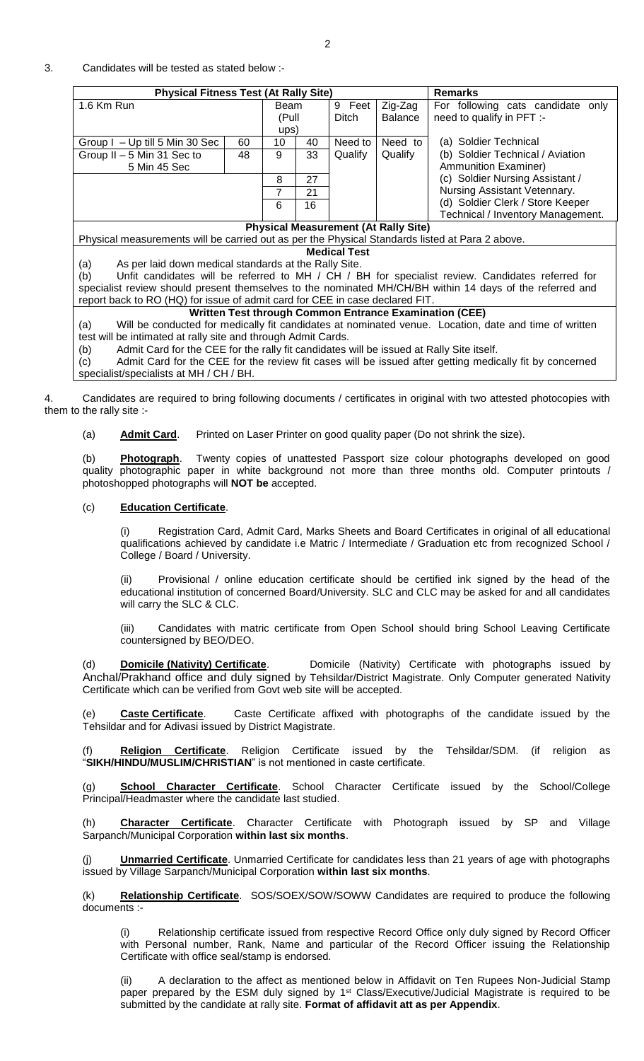#### 3. Candidates will be tested as stated below :-

| <b>Physical Fitness Test (At Rally Site)</b> | <b>Remarks</b> |    |       |                |                                   |                                   |  |
|----------------------------------------------|----------------|----|-------|----------------|-----------------------------------|-----------------------------------|--|
| 1.6 Km Run                                   |                |    | Beam  |                | Zig-Zag                           | For following cats candidate only |  |
|                                              | (Pull          |    | Ditch | <b>Balance</b> | need to qualify in PFT :-         |                                   |  |
|                                              |                |    | ups)  |                |                                   |                                   |  |
| Group I - Up till 5 Min 30 Sec<br>60         |                | 10 | 40    | Need to        | Need to                           | (a) Soldier Technical             |  |
| Group II - 5 Min 31 Sec to<br>48             |                | 9  | 33    | Qualify        | Qualify                           | (b) Soldier Technical / Aviation  |  |
| 5 Min 45 Sec                                 |                |    |       |                |                                   | <b>Ammunition Examiner)</b>       |  |
|                                              | 8              | 27 |       |                | (c) Soldier Nursing Assistant /   |                                   |  |
|                                              |                | 21 |       |                | Nursing Assistant Vetennary.      |                                   |  |
|                                              | 6              | 16 |       |                | (d) Soldier Clerk / Store Keeper  |                                   |  |
|                                              |                |    |       |                | Technical / Inventory Management. |                                   |  |

## **Physical Measurement (At Rally Site)**

Physical measurements will be carried out as per the Physical Standards listed at Para 2 above. **Medical Test**

(a) As per laid down medical standards at the Rally Site.

(b) Unfit candidates will be referred to MH / CH / BH for specialist review. Candidates referred for specialist review should present themselves to the nominated MH/CH/BH within 14 days of the referred and report back to RO (HQ) for issue of admit card for CEE in case declared FIT.

# **Written Test through Common Entrance Examination (CEE)**

(a) Will be conducted for medically fit candidates at nominated venue. Location, date and time of written test will be intimated at rally site and through Admit Cards.

(b) Admit Card for the CEE for the rally fit candidates will be issued at Rally Site itself.

(c) Admit Card for the CEE for the review fit cases will be issued after getting medically fit by concerned specialist/specialists at MH / CH / BH.

4. Candidates are required to bring following documents / certificates in original with two attested photocopies with them to the rally site :-

(a) **Admit Card**. Printed on Laser Printer on good quality paper (Do not shrink the size).

(b) **Photograph**. Twenty copies of unattested Passport size colour photographs developed on good quality photographic paper in white background not more than three months old. Computer printouts / photoshopped photographs will **NOT be** accepted.

#### (c) **Education Certificate**.

(i) Registration Card, Admit Card, Marks Sheets and Board Certificates in original of all educational qualifications achieved by candidate i.e Matric / Intermediate / Graduation etc from recognized School / College / Board / University.

Provisional / online education certificate should be certified ink signed by the head of the educational institution of concerned Board/University. SLC and CLC may be asked for and all candidates will carry the SLC & CLC.

(iii) Candidates with matric certificate from Open School should bring School Leaving Certificate countersigned by BEO/DEO.

(d) **Domicile (Nativity) Certificate**. Domicile (Nativity) Certificate with photographs issued by Anchal/Prakhand office and duly signed by Tehsildar/District Magistrate. Only Computer generated Nativity Certificate which can be verified from Govt web site will be accepted.

(e) **Caste Certificate**. Caste Certificate affixed with photographs of the candidate issued by the Tehsildar and for Adivasi issued by District Magistrate.

Religion Certificate. Religion Certificate issued by the Tehsildar/SDM. (if religion as "**SIKH/HINDU/MUSLIM/CHRISTIAN**" is not mentioned in caste certificate.

(g) **School Character Certificate**. School Character Certificate issued by the School/College Principal/Headmaster where the candidate last studied.

(h) **Character Certificate**. Character Certificate with Photograph issued by SP and Village Sarpanch/Municipal Corporation **within last six months**.

(j) **Unmarried Certificate**. Unmarried Certificate for candidates less than 21 years of age with photographs issued by Village Sarpanch/Municipal Corporation **within last six months**.

(k) **Relationship Certificate**. SOS/SOEX/SOW/SOWW Candidates are required to produce the following documents :-

Relationship certificate issued from respective Record Office only duly signed by Record Officer with Personal number, Rank, Name and particular of the Record Officer issuing the Relationship Certificate with office seal/stamp is endorsed.

A declaration to the affect as mentioned below in Affidavit on Ten Rupees Non-Judicial Stamp paper prepared by the ESM duly signed by 1<sup>st</sup> Class/Executive/Judicial Magistrate is required to be submitted by the candidate at rally site. **Format of affidavit att as per Appendix**.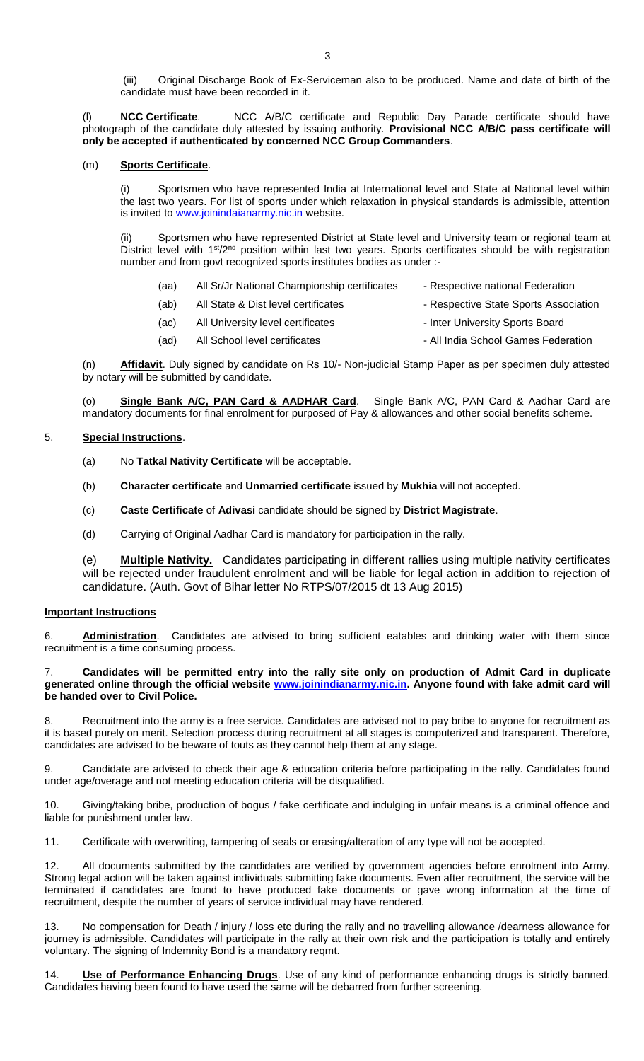(iii) Original Discharge Book of Ex-Serviceman also to be produced. Name and date of birth of the candidate must have been recorded in it.

**NCC Certificate.** NCC A/B/C certificate and Republic Day Parade certificate should have photograph of the candidate duly attested by issuing authority. **Provisional NCC A/B/C pass certificate will only be accepted if authenticated by concerned NCC Group Commanders**.

### (m) **Sports Certificate**.

(i) Sportsmen who have represented India at International level and State at National level within the last two years. For list of sports under which relaxation in physical standards is admissible, attention is invited to [www.joinindaianarmy.nic.in](http://www.joinindaianarmy.nic.in/) website.

(ii) Sportsmen who have represented District at State level and University team or regional team at District level with 1<sup>st</sup>/2<sup>nd</sup> position within last two years. Sports certificates should be with registration number and from govt recognized sports institutes bodies as under :-

- (aa) All Sr/Jr National Championship certificates Respective national Federation
- (ab) All State & Dist level certificates Respective State Sports Association
- (ac) All University level certificates Inter University Sports Board
- (ad) All School level certificates All India School Games Federation

(n) **Affidavit**. Duly signed by candidate on Rs 10/- Non-judicial Stamp Paper as per specimen duly attested by notary will be submitted by candidate.

(o) **Single Bank A/C, PAN Card & AADHAR Card**. Single Bank A/C, PAN Card & Aadhar Card are mandatory documents for final enrolment for purposed of Pay & allowances and other social benefits scheme.

#### 5. **Special Instructions**.

- (a) No **Tatkal Nativity Certificate** will be acceptable.
- (b) **Character certificate** and **Unmarried certificate** issued by **Mukhia** will not accepted.
- (c) **Caste Certificate** of **Adivasi** candidate should be signed by **District Magistrate**.
- (d) Carrying of Original Aadhar Card is mandatory for participation in the rally.

(e) **Multiple Nativity.** Candidates participating in different rallies using multiple nativity certificates will be rejected under fraudulent enrolment and will be liable for legal action in addition to rejection of candidature. (Auth. Govt of Bihar letter No RTPS/07/2015 dt 13 Aug 2015)

#### **Important Instructions**

6. **Administration**. Candidates are advised to bring sufficient eatables and drinking water with them since recruitment is a time consuming process.

7. **Candidates will be permitted entry into the rally site only on production of Admit Card in duplicate generated online through the official website [www.joinindianarmy.nic.in.](http://www.joinindianarmy.nic.in/) Anyone found with fake admit card will be handed over to Civil Police.**

Recruitment into the army is a free service. Candidates are advised not to pay bribe to anyone for recruitment as it is based purely on merit. Selection process during recruitment at all stages is computerized and transparent. Therefore, candidates are advised to be beware of touts as they cannot help them at any stage.

9. Candidate are advised to check their age & education criteria before participating in the rally. Candidates found under age/overage and not meeting education criteria will be disqualified.

10. Giving/taking bribe, production of bogus / fake certificate and indulging in unfair means is a criminal offence and liable for punishment under law.

11. Certificate with overwriting, tampering of seals or erasing/alteration of any type will not be accepted.

12. All documents submitted by the candidates are verified by government agencies before enrolment into Army. Strong legal action will be taken against individuals submitting fake documents. Even after recruitment, the service will be terminated if candidates are found to have produced fake documents or gave wrong information at the time of recruitment, despite the number of years of service individual may have rendered.

No compensation for Death / injury / loss etc during the rally and no travelling allowance /dearness allowance for journey is admissible. Candidates will participate in the rally at their own risk and the participation is totally and entirely voluntary. The signing of Indemnity Bond is a mandatory reqmt.

Use of Performance Enhancing Drugs. Use of any kind of performance enhancing drugs is strictly banned. Candidates having been found to have used the same will be debarred from further screening.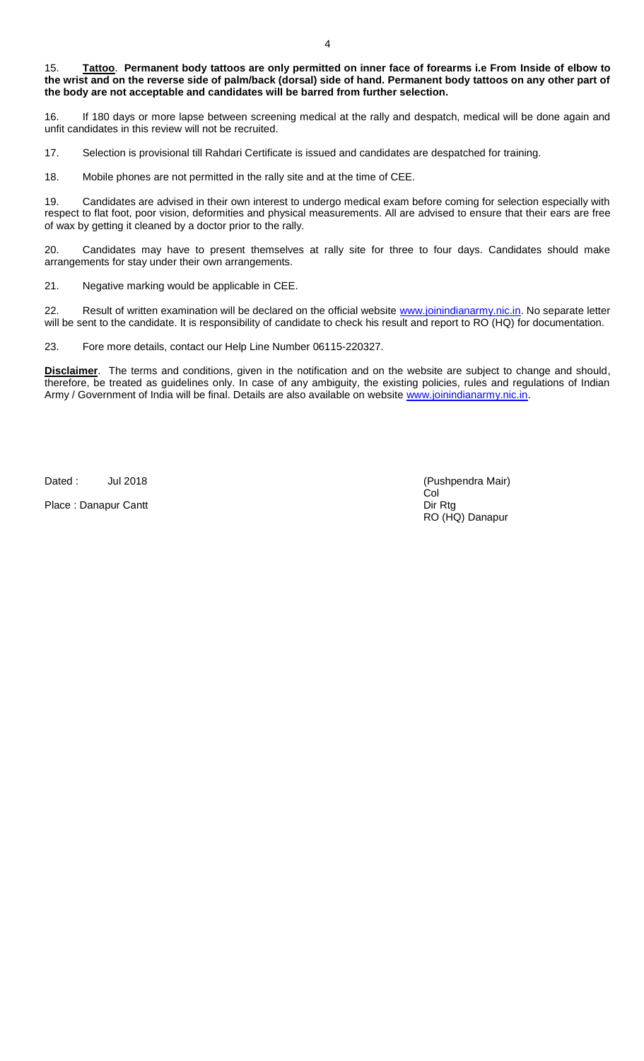#### 15. **Tattoo**. **Permanent body tattoos are only permitted on inner face of forearms i.e From Inside of elbow to the wrist and on the reverse side of palm/back (dorsal) side of hand. Permanent body tattoos on any other part of the body are not acceptable and candidates will be barred from further selection.**

16. If 180 days or more lapse between screening medical at the rally and despatch, medical will be done again and unfit candidates in this review will not be recruited.

17. Selection is provisional till Rahdari Certificate is issued and candidates are despatched for training.

18. Mobile phones are not permitted in the rally site and at the time of CEE.

19. Candidates are advised in their own interest to undergo medical exam before coming for selection especially with respect to flat foot, poor vision, deformities and physical measurements. All are advised to ensure that their ears are free of wax by getting it cleaned by a doctor prior to the rally.

20. Candidates may have to present themselves at rally site for three to four days. Candidates should make arrangements for stay under their own arrangements.

21. Negative marking would be applicable in CEE.

22. Result of written examination will be declared on the official website [www.joinindianarmy.nic.in.](http://www.joinindianarmy.nic.in/) No separate letter will be sent to the candidate. It is responsibility of candidate to check his result and report to RO (HQ) for documentation.

23. Fore more details, contact our Help Line Number 06115-220327.

**Disclaimer**.The terms and conditions, given in the notification and on the website are subject to change and should, therefore, be treated as guidelines only. In case of any ambiguity, the existing policies, rules and regulations of Indian Army / Government of India will be final. Details are also available on website [www.joinindianarmy.nic.in.](http://www.joinindianarmy.nic.in/)

Dated : Jul 2018 **July 2018** and the United States of Pushpendra Mair)

Place : Danapur Cantt Dir Rtg Dir Rtg Dir Rtg Dir Rtg Dir Rtg Dir Rtg Dir Rtg Dir Rtg Dir Rtg Dir Rtg Dir Rtg Dir Rtg Dir Rtg Dir Rtg Dir Rtg Dir Rtg Dir Rtg Dir Rtg Dir Rtg Dir Rtg Dir Rtg Dir Rtg Dir Rtg Dir Rtg Dir Rtg

Col RO (HQ) Danapur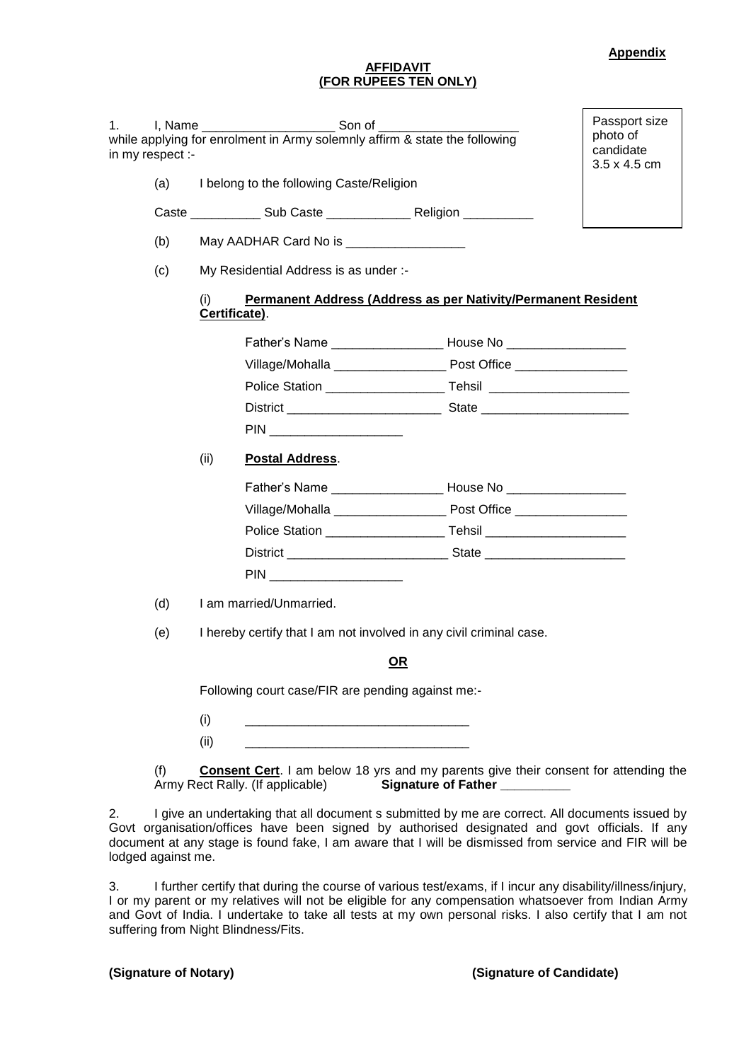#### **Appendix**

#### **AFFIDAVIT (FOR RUPEES TEN ONLY)**

| 1. | in my respect :- | I, Name ________________________________Son of<br>while applying for enrolment in Army solemnly affirm & state the following | Passport size<br>photo of<br>candidate<br>3.5 x 4.5 cm           |                                                                                                                                                                                               |  |  |  |  |  |  |
|----|------------------|------------------------------------------------------------------------------------------------------------------------------|------------------------------------------------------------------|-----------------------------------------------------------------------------------------------------------------------------------------------------------------------------------------------|--|--|--|--|--|--|
|    | (a)              |                                                                                                                              | I belong to the following Caste/Religion                         |                                                                                                                                                                                               |  |  |  |  |  |  |
|    |                  |                                                                                                                              |                                                                  |                                                                                                                                                                                               |  |  |  |  |  |  |
|    | (b)              |                                                                                                                              | May AADHAR Card No is <b>Name Assessment Contract Card No is</b> |                                                                                                                                                                                               |  |  |  |  |  |  |
|    | (c)              | My Residential Address is as under :-                                                                                        |                                                                  |                                                                                                                                                                                               |  |  |  |  |  |  |
|    |                  | Permanent Address (Address as per Nativity/Permanent Resident<br>(i)<br>Certificate).                                        |                                                                  |                                                                                                                                                                                               |  |  |  |  |  |  |
|    |                  |                                                                                                                              |                                                                  | Father's Name _________________________House No ________________________________                                                                                                              |  |  |  |  |  |  |
|    |                  |                                                                                                                              |                                                                  |                                                                                                                                                                                               |  |  |  |  |  |  |
|    |                  |                                                                                                                              |                                                                  |                                                                                                                                                                                               |  |  |  |  |  |  |
|    |                  |                                                                                                                              |                                                                  | District <b>No. 2. Excession State</b> State <b>State State State State State State State State State State State State State State State State State State State State State State State</b> |  |  |  |  |  |  |
|    |                  |                                                                                                                              |                                                                  |                                                                                                                                                                                               |  |  |  |  |  |  |
|    |                  | (ii)                                                                                                                         | <b>Postal Address.</b>                                           |                                                                                                                                                                                               |  |  |  |  |  |  |
|    |                  |                                                                                                                              |                                                                  |                                                                                                                                                                                               |  |  |  |  |  |  |
|    |                  |                                                                                                                              |                                                                  |                                                                                                                                                                                               |  |  |  |  |  |  |
|    |                  |                                                                                                                              |                                                                  |                                                                                                                                                                                               |  |  |  |  |  |  |
|    |                  |                                                                                                                              |                                                                  |                                                                                                                                                                                               |  |  |  |  |  |  |
|    |                  |                                                                                                                              |                                                                  |                                                                                                                                                                                               |  |  |  |  |  |  |
|    | (d)              |                                                                                                                              |                                                                  |                                                                                                                                                                                               |  |  |  |  |  |  |
|    | (e)              | I hereby certify that I am not involved in any civil criminal case.                                                          |                                                                  |                                                                                                                                                                                               |  |  |  |  |  |  |
|    |                  | <u>OR</u>                                                                                                                    |                                                                  |                                                                                                                                                                                               |  |  |  |  |  |  |
|    |                  | Following court case/FIR are pending against me:-                                                                            |                                                                  |                                                                                                                                                                                               |  |  |  |  |  |  |
|    |                  | (i)                                                                                                                          | <u> 1980 - Jan James James Barnett, fransk politik (d. 1980)</u> |                                                                                                                                                                                               |  |  |  |  |  |  |
|    |                  | (ii)                                                                                                                         | <u> 1980 - Johann Barn, mars an t-Amerikaansk politiker (</u>    |                                                                                                                                                                                               |  |  |  |  |  |  |
|    | (f)              |                                                                                                                              | Army Rect Rally. (If applicable)                                 | <b>Consent Cert</b> . I am below 18 yrs and my parents give their consent for attending the<br>Signature of Father _________                                                                  |  |  |  |  |  |  |

2. I give an undertaking that all document s submitted by me are correct. All documents issued by Govt organisation/offices have been signed by authorised designated and govt officials. If any document at any stage is found fake, I am aware that I will be dismissed from service and FIR will be lodged against me.

3. I further certify that during the course of various test/exams, if I incur any disability/illness/injury, I or my parent or my relatives will not be eligible for any compensation whatsoever from Indian Army and Govt of India. I undertake to take all tests at my own personal risks. I also certify that I am not suffering from Night Blindness/Fits.